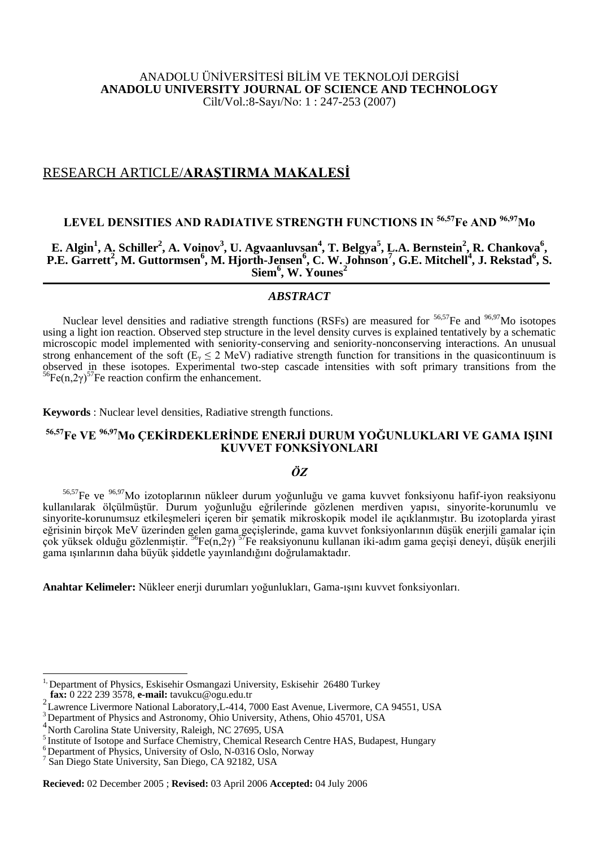### ANADOLU ÜNİVERSİTESİ BİLİM VE TEKNOLOJİ DERGİSİ **ANADOLU UNIVERSITY JOURNAL OF SCIENCE AND TECHNOLOGY** Cilt/Vol.:8-Sayı/No: 1 : 247-253 (2007)

## RESEARCH ARTICLE/**ARAŞTIRMA MAKALESİ**

# **LEVEL DENSITIES AND RADIATIVE STRENGTH FUNCTIONS IN 56,57Fe AND 96,97Mo**

## $\mathbf{E}.$  Algin<sup>1</sup>, A. Schiller<sup>2</sup>, A. Voinov<sup>3</sup>, U. Agvaanluvsan<sup>4</sup>, T. Belgya<sup>5</sup>, L.A. Bernstein<sup>2</sup>, R. Chankova<sup>6</sup>, **P.E. Garrett<sup>2</sup> , M. Guttormsen<sup>6</sup> , M. Hjorth-Jensen<sup>6</sup> , C. W. Johnson<sup>7</sup> , G.E. Mitchell<sup>4</sup> , J. Rekstad<sup>6</sup> , S. Siem<sup>6</sup> , W. Younes<sup>2</sup>**

## *ABSTRACT*

Nuclear level densities and radiative strength functions (RSFs) are measured for  $56,57$ Fe and  $96,97$ Mo isotopes using a light ion reaction. Observed step structure in the level density curves is explained tentatively by a schematic microscopic model implemented with seniority-conserving and seniority-nonconserving interactions. An unusual strong enhancement of the soft ( $E_y \le 2$  MeV) radiative strength function for transitions in the quasicontinuum is observed in these isotopes. Experimental two-step cascade intensities with soft primary transitions from the  $^{56}Fe(n,2\gamma)^{57}$ Fe reaction confirm the enhancement.

**Keywords** : Nuclear level densities, Radiative strength functions.

# **56,57Fe VE 96,97Mo ÇEKİRDEKLERİNDE ENERJİ DURUM YOĞUNLUKLARI VE GAMA IŞINI KUVVET FONKSİYONLARI**

## *ÖZ*

<sup>56,57</sup>Fe ve <sup>96,97</sup>Mo izotoplarının nükleer durum yoğunluğu ve gama kuvvet fonksiyonu hafif-iyon reaksiyonu kullanılarak ölçülmüştür. Durum yoğunluğu eğrilerinde gözlenen merdiven yapısı, sinyorite-korunumlu ve sinyorite-korunumsuz etkileşmeleri içeren bir şematik mikroskopik model ile açıklanmıştır. Bu izotoplarda yirast eğrisinin birçok MeV üzerinden gelen gama geçişlerinde, gama kuvvet fonksiyonlarının düşük enerjili gamalar için çok yüksek olduğu gözlenmiştir. <sup>56</sup>Fe(n,2γ) <sup>57</sup>Fe reaksiyonunu kullanan iki-adım gama geçişi deneyi, düşük enerjili gama ışınlarının daha büyük şiddetle yayınlandığını doğrulamaktadır.

**Anahtar Kelimeler:** Nükleer enerji durumları yoğunlukları, Gama-ışını kuvvet fonksiyonları.

 $\overline{a}$ 

**Recieved:** 02 December 2005 ; **Revised:** 03 April 2006 **Accepted:** 04 July 2006

<sup>&</sup>lt;sup>1,</sup> Department of Physics, Eskisehir Osmangazi University, Eskisehir 26480 Turkey **fax:** 0 222 239 3578, **e-mail:** tavukcu@ogu.edu.tr

<sup>&</sup>lt;sup>2</sup> Lawrence Livermore National Laboratory, L-414, 7000 East Avenue, Livermore, CA 94551, USA

<sup>&</sup>lt;sup>3</sup> Department of Physics and Astronomy, Ohio University, Athens, Ohio 45701, USA

<sup>&</sup>lt;sup>4</sup> North Carolina State University, Raleigh, NC 27695, USA

<sup>&</sup>lt;sup>5</sup> Institute of Isotope and Surface Chemistry, Chemical Research Centre HAS, Budapest, Hungary

 $<sup>6</sup>$  Department of Physics, University of Oslo, N-0316 Oslo, Norway</sup>

<sup>7</sup> San Diego State University, San Diego, CA 92182, USA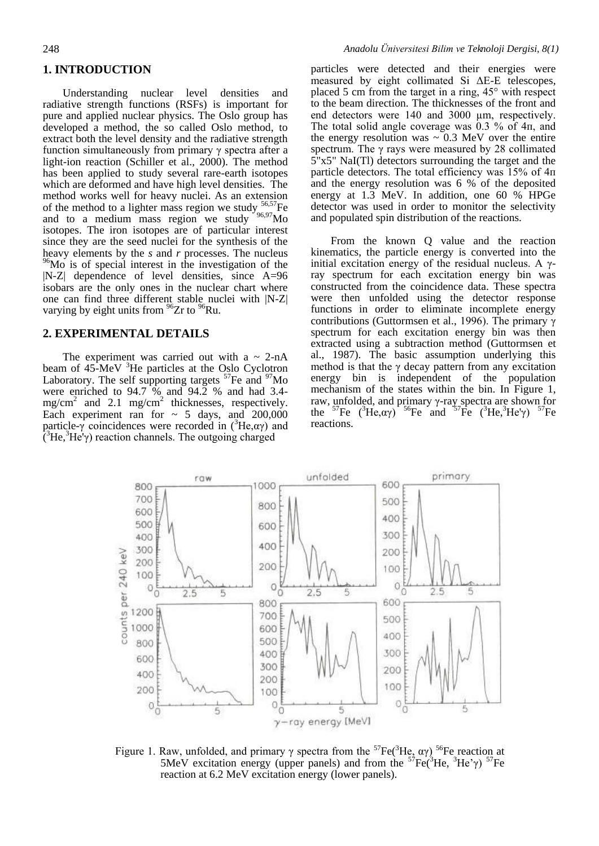#### **1. INTRODUCTION**

Understanding nuclear level densities and radiative strength functions (RSFs) is important for pure and applied nuclear physics. The Oslo group has developed a method, the so called Oslo method, to extract both the level density and the radiative strength function simultaneously from primary γ spectra after a light-ion reaction (Schiller et al.,  $2000$ ). The method has been applied to study several rare-earth isotopes which are deformed and have high level densities. The method works well for heavy nuclei. As an extension of the method to a lighter mass region we study  $56,57$ Fe and to a medium mass region we study  $96.97$ Mo isotopes. The iron isotopes are of particular interest since they are the seed nuclei for the synthesis of the heavy elements by the *s* and *r* processes. The nucleus  $96$ Mo is of special interest in the investigation of the |N-Z| dependence of level densities, since A=96 isobars are the only ones in the nuclear chart where one can find three different stable nuclei with |N-Z| varying by eight units from  $96$ Zr to  $96$ Ru.

#### **2. EXPERIMENTAL DETAILS**

The experiment was carried out with a  $\sim$  2-nA beam of 45-MeV <sup>3</sup>He particles at the Oslo Cyclotron Laboratory. The self supporting targets  $57Fe$  and  $97Mo$ were enriched to  $94.7\%$  and  $94.2\%$  and had 3.4 $mg/cm<sup>2</sup>$  and 2.1 mg/cm<sup>2</sup> thicknesses, respectively. Each experiment ran for  $\sim$  5 days, and 200,000 particle-γ coincidences were recorded in  $({}^{3}He, \alpha\gamma)$  and  $\hat{C}^3$ He'γ) reaction channels. The outgoing charged

particles were detected and their energies were measured by eight collimated Si ΔE-E telescopes, placed 5 cm from the target in a ring, 45° with respect to the beam direction. The thicknesses of the front and end detectors were 140 and 3000  $\mu$ m, respectively. The total solid angle coverage was 0.3 % of 4п, and the energy resolution was  $\sim 0.3$  MeV over the entire spectrum. The γ rays were measured by 28 collimated 5"x5" NaI(Tl) detectors surrounding the target and the particle detectors. The total efficiency was  $15\%$  of  $4\pi$ and the energy resolution was 6 % of the deposited energy at 1.3 MeV. In addition, one 60 % HPGe detector was used in order to monitor the selectivity and populated spin distribution of the reactions.

From the known Q value and the reaction kinematics, the particle energy is converted into the initial excitation energy of the residual nucleus. A  $γ$ ray spectrum for each excitation energy bin was constructed from the coincidence data. These spectra were then unfolded using the detector response functions in order to eliminate incomplete energy contributions (Guttormsen et al., 1996). The primary γ spectrum for each excitation energy bin was then extracted using a subtraction method (Guttormsen et al., 1987). The basic assumption underlying this method is that the  $\gamma$  decay pattern from any excitation energy bin is independent of the population mechanism of the states within the bin. In Figure 1, raw, unfolded, and primary γ-ray spectra are shown for the  ${}^{57}Fe$  ( ${}^{3}He, \alpha\gamma$ )  ${}^{56}Fe$  and  ${}^{57}Fe$  ( ${}^{3}He, {}^{3}He\gamma$ )  ${}^{57}Fe$ reactions.



Figure 1. Raw, unfolded, and primary γ spectra from the <sup>57</sup>Fe(<sup>3</sup>He, αγ)<sup>56</sup>Fe reaction at 5MeV excitation energy (upper panels) and from the  $57Fe(^3He$ ,  $3He'$  $\gamma$ )  $57Fe$ reaction at 6.2 MeV excitation energy (lower panels).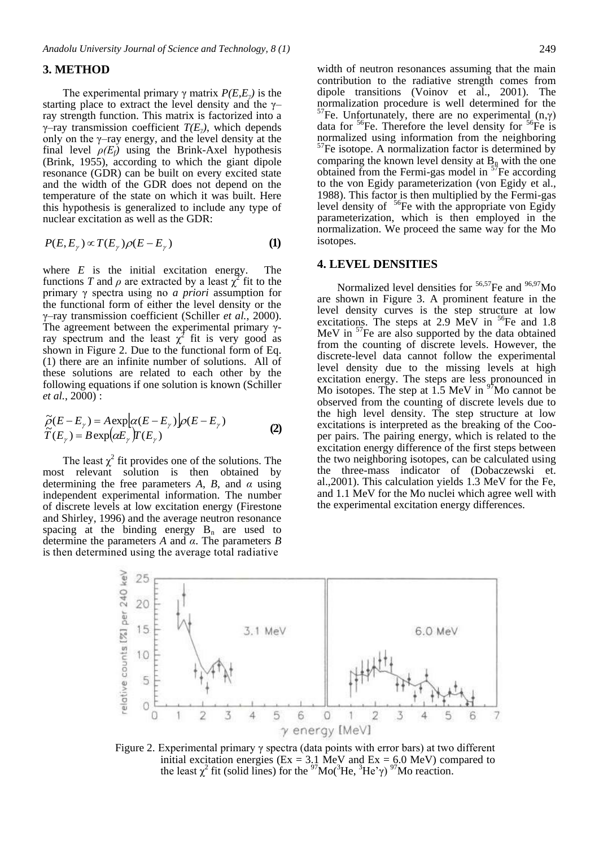#### **3. METHOD**

The experimental primary  $\gamma$  matrix  $P(E, E_{\gamma})$  is the starting place to extract the level density and the  $\gamma$ ray strength function. This matrix is factorized into a γ–ray transmission coefficient *T(Eγ)*, which depends only on the  $\gamma$ -ray energy, and the level density at the final level  $\rho(E_f)$  using the Brink-Axel hypothesis (Brink, 1955), according to which the giant dipole resonance (GDR) can be built on every excited state and the width of the GDR does not depend on the temperature of the state on which it was built. Here this hypothesis is generalized to include any type of nuclear excitation as well as the GDR:

$$
P(E, E_{\gamma}) \propto T(E_{\gamma}) \rho(E - E_{\gamma})
$$
 (1)

where *E* is the initial excitation energy. The functions *T* and  $\rho$  are extracted by a least  $\chi^2$  fit to the primary γ spectra using no *a priori* assumption for the functional form of either the level density or the γ–ray transmission coefficient (Schiller *et al.*, 2000). The agreement between the experimental primary  $\gamma$ ray spectrum and the least  $\chi^2$  fit is very good as shown in Figure 2. Due to the functional form of Eq. (1) there are an infinite number of solutions. All of these solutions are related to each other by the following equations if one solution is known (Schiller *et al.*, 2000) :

$$
\widetilde{\rho}(E - E_{\gamma}) = A \exp[\alpha(E - E_{\gamma})]\rho(E - E_{\gamma})
$$
\n
$$
\widetilde{T}(E_{\gamma}) = B \exp(\alpha E_{\gamma})T(E_{\gamma})
$$
\n(2)

The least  $\chi^2$  fit provides one of the solutions. The most relevant solution is then obtained by determining the free parameters *A*, *B*, and *α* using independent experimental information. The number of discrete levels at low excitation energy (Firestone and Shirley, 1996) and the average neutron resonance spacing at the binding energy  $B_n$  are used to determine the parameters *A* and *α*. The parameters *B* is then determined using the average total radiative

contribution to the radiative strength comes from dipole transitions (Voinov et al., 2001). The normalization procedure is well determined for the <sup>57</sup>Fe. Unfortunately, there are no experimental  $(n,γ)$ data for  ${}^{56}Fe$ . Therefore the level density for  ${}^{56}Fe$  is normalized using information from the neighboring  $57$ Fe isotope. A normalization factor is determined by comparing the known level density at  $B_n$  with the one obtained from the Fermi-gas model in  $57$ Fe according to the von Egidy parameterization (von Egidy et al., 1988). This factor is then multiplied by the Fermi-gas level density of  $56$ Fe with the appropriate von Egidy parameterization, which is then employed in the normalization. We proceed the same way for the Mo isotopes.

#### **4. LEVEL DENSITIES**

Normalized level densities for  $56,57$ Fe and  $96,97$ Mo are shown in Figure 3. A prominent feature in the level density curves is the step structure at low excitations. The steps at 2.9 MeV in  $^{56}$ Fe and 1.8 MeV in  $57$ Fe are also supported by the data obtained from the counting of discrete levels. However, the discrete-level data cannot follow the experimental level density due to the missing levels at high excitation energy. The steps are less pronounced in Mo isotopes. The step at  $1.5$  MeV in  $97$ Mo cannot be observed from the counting of discrete levels due to the high level density. The step structure at low excitations is interpreted as the breaking of the Cooper pairs. The pairing energy, which is related to the excitation energy difference of the first steps between the two neighboring isotopes, can be calculated using the three-mass indicator of (Dobaczewski et. al.,2001). This calculation yields 1.3 MeV for the Fe, and 1.1 MeV for the Mo nuclei which agree well with the experimental excitation energy differences.



Figure 2. Experimental primary γ spectra (data points with error bars) at two different initial excitation energies ( $Ex = 3.1$  MeV and  $Ex = 6.0$  MeV) compared to the least  $\chi^2$  fit (solid lines) for the <sup>97</sup>Mo(<sup>3</sup>He, <sup>3</sup>He' $\gamma$ ) <sup>97</sup>Mo reaction.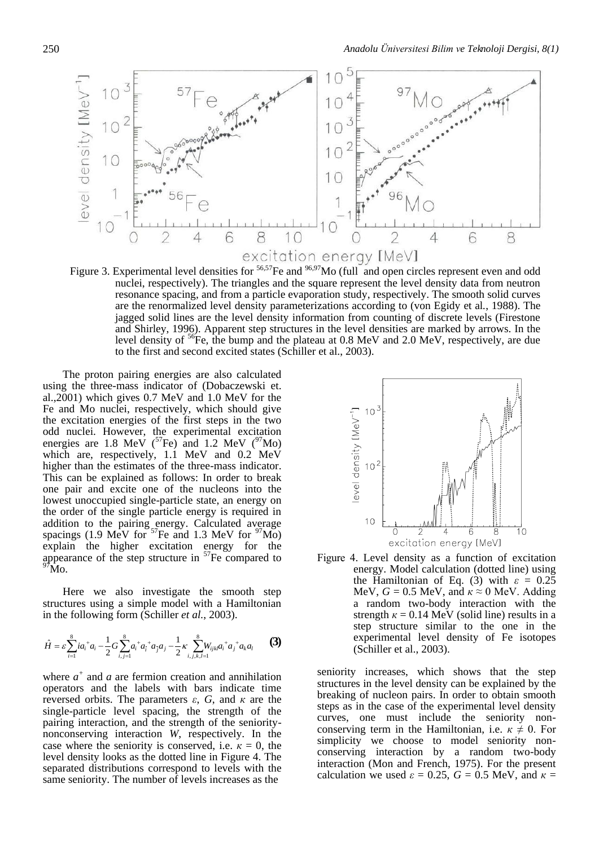

Figure 3. Experimental level densities for <sup>56,57</sup>Fe and <sup>96,97</sup>Mo (full and open circles represent even and odd nuclei, respectively). The triangles and the square represent the level density data from neutron resonance spacing, and from a particle evaporation study, respectively. The smooth solid curves are the renormalized level density parameterizations according to (von Egidy et al*.*, 1988). The jagged solid lines are the level density information from counting of discrete levels (Firestone and Shirley, 1996). Apparent step structures in the level densities are marked by arrows. In the level density of  ${}^{56}Fe$ , the bump and the plateau at 0.8 MeV and 2.0 MeV, respectively, are due to the first and second excited states (Schiller et al., 2003).

The proton pairing energies are also calculated using the three-mass indicator of (Dobaczewski et. al.,2001) which gives 0.7 MeV and 1.0 MeV for the Fe and Mo nuclei, respectively, which should give the excitation energies of the first steps in the two odd nuclei. However, the experimental excitation energies are 1.8 MeV ( $^{57}$ Fe) and 1.2 MeV ( $^{97}$ Mo) which are, respectively, 1.1 MeV and 0.2 MeV higher than the estimates of the three-mass indicator. This can be explained as follows: In order to break one pair and excite one of the nucleons into the lowest unoccupied single-particle state, an energy on the order of the single particle energy is required in addition to the pairing energy. Calculated average spacings (1.9 MeV for  $57$ Fe and 1.3 MeV for  $97$ Mo) explain the higher excitation energy for the appearance of the step structure in  $57Fe$  compared to  $\tilde{M}$ o.

Here we also investigate the smooth step structures using a simple model with a Hamiltonian in the following form (Schiller *et al.*, 2003).

$$
\hat{H} = \varepsilon \sum_{i=1}^{8} i a_i^{\dagger} a_i - \frac{1}{2} G \sum_{i,j=1}^{8} a_i^{\dagger} a_j^{\dagger} a_j a_j - \frac{1}{2} \kappa \sum_{i,j,k,l=1}^{8} W_{ijkl} a_i^{\dagger} a_j^{\dagger} a_k a_l
$$
 (3)

where  $a^+$  and  $a$  are fermion creation and annihilation operators and the labels with bars indicate time reversed orbits. The parameters *ε*, *G*, and *к* are the single-particle level spacing, the strength of the pairing interaction, and the strength of the senioritynonconserving interaction *W*, respectively. In the case where the seniority is conserved, i.e.  $\kappa = 0$ , the level density looks as the dotted line in Figure 4. The separated distributions correspond to levels with the same seniority. The number of levels increases as the



Figure 4. Level density as a function of excitation energy. Model calculation (dotted line) using the Hamiltonian of Eq. (3) with  $\varepsilon = 0.25$ MeV,  $G = 0.5$  MeV, and  $\kappa \approx 0$  MeV. Adding a random two-body interaction with the strength  $\kappa = 0.14$  MeV (solid line) results in a step structure similar to the one in the experimental level density of Fe isotopes (Schiller et al., 2003).

seniority increases, which shows that the step structures in the level density can be explained by the breaking of nucleon pairs. In order to obtain smooth steps as in the case of the experimental level density curves, one must include the seniority nonconserving term in the Hamiltonian, i.e.  $\kappa \neq 0$ . For simplicity we choose to model seniority nonconserving interaction by a random two-body interaction (Mon and French, 1975). For the present calculation we used  $\varepsilon = 0.25$ ,  $G = 0.5$  MeV, and  $\kappa =$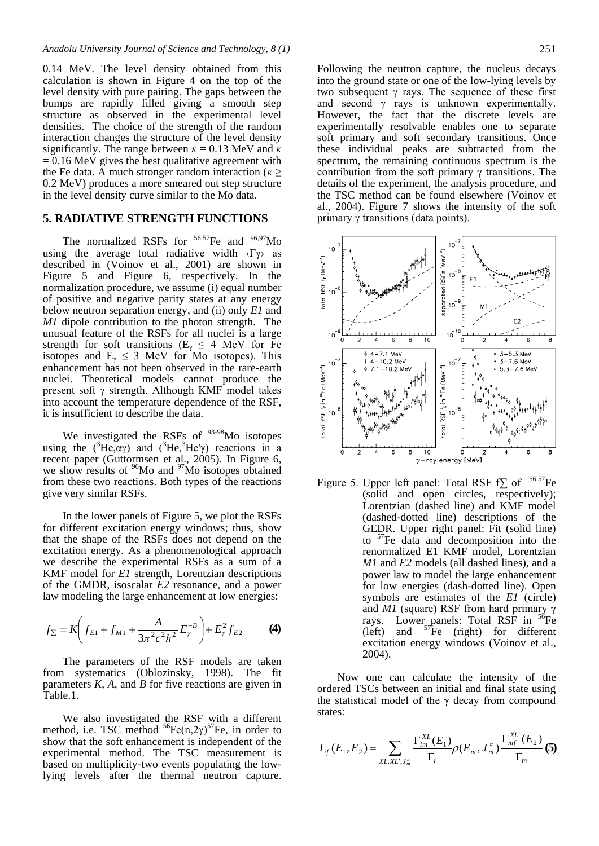0.14 MeV. The level density obtained from this calculation is shown in Figure 4 on the top of the level density with pure pairing. The gaps between the bumps are rapidly filled giving a smooth step structure as observed in the experimental level densities. The choice of the strength of the random interaction changes the structure of the level density significantly. The range between  $\kappa = 0.13$  MeV and  $\kappa$  $= 0.16$  MeV gives the best qualitative agreement with the Fe data. A much stronger random interaction ( $\kappa$  > 0.2 MeV) produces a more smeared out step structure in the level density curve similar to the Mo data.

#### **5. RADIATIVE STRENGTH FUNCTIONS**

The normalized RSFs for  $56,57$ Fe and  $96,97$ Mo using the average total radiative width  $\langle \Gamma \gamma \rangle$  as described in (Voinov et al., 2001) are shown in Figure 5 and Figure 6, respectively. In the normalization procedure, we assume (i) equal number of positive and negative parity states at any energy below neutron separation energy, and (ii) only *E1* and *M1* dipole contribution to the photon strength. The unusual feature of the RSFs for all nuclei is a large strength for soft transitions ( $E<sub>\gamma</sub> \le 4$  MeV for Fe isotopes and  $E_y \leq 3$  MeV for Mo isotopes). This enhancement has not been observed in the rare-earth nuclei. Theoretical models cannot produce the present soft γ strength. Although KMF model takes into account the temperature dependence of the RSF, it is insufficient to describe the data.

We investigated the RSFs of  $93-98$ Mo isotopes using the  $({}^{3}He, \alpha\gamma)$  and  $({}^{3}He, {}^{3}He\gamma)$  reactions in a recent paper (Guttormsen et al., 2005). In Figure 6, we show results of  $96$ Mo and  $97$ Mo isotopes obtained from these two reactions. Both types of the reactions give very similar RSFs.

In the lower panels of Figure 5, we plot the RSFs for different excitation energy windows; thus, show that the shape of the RSFs does not depend on the excitation energy. As a phenomenological approach we describe the experimental RSFs as a sum of a KMF model for *E1* strength, Lorentzian descriptions of the GMDR, isoscalar *E2* resonance, and a power law modeling the large enhancement at low energies:

$$
f_{\Sigma} = K \left( f_{E1} + f_{M1} + \frac{A}{3\pi^2 c^2 h^2} E_{\gamma}^{-B} \right) + E_{\gamma}^2 f_{E2}
$$
 (4)

The parameters of the RSF models are taken from systematics (Oblozinsky, 1998). The fit parameters *K*, *A*, and *B* for five reactions are given in Table.1.

We also investigated the RSF with a different method, i.e. TSC method  ${}^{56}Fe(n,2\gamma){}^{57}Fe$ , in order to show that the soft enhancement is independent of the experimental method. The TSC measurement is based on multiplicity-two events populating the lowlying levels after the thermal neutron capture.

Following the neutron capture, the nucleus decays into the ground state or one of the low-lying levels by two subsequent  $\gamma$  rays. The sequence of these first and second  $\gamma$  rays is unknown experimentally. However, the fact that the discrete levels are experimentally resolvable enables one to separate soft primary and soft secondary transitions. Once these individual peaks are subtracted from the spectrum, the remaining continuous spectrum is the contribution from the soft primary  $\gamma$  transitions. The details of the experiment, the analysis procedure, and the TSC method can be found elsewhere (Voinov et al., 2004). Figure 7 shows the intensity of the soft primary γ transitions (data points).



Figure 5. Upper left panel: Total RSF f $\Sigma$  of <sup>56,57</sup>Fe (solid and open circles, respectively); Lorentzian (dashed line) and KMF model (dashed-dotted line) descriptions of the GEDR. Upper right panel: Fit (solid line) to  $5$ <sup>T</sup>Fe data and decomposition into the renormalized E1 KMF model, Lorentzian *M1* and *E2* models (all dashed lines), and a power law to model the large enhancement for low energies (dash-dotted line). Open symbols are estimates of the *E1* (circle) and *M1* (square) RSF from hard primary γ rays. Lower panels: Total RSF in <sup>56</sup>Fe (left) and  $57\text{Fe}$  (right) for different excitation energy windows (Voinov et al., 2004).

Now one can calculate the intensity of the ordered TSCs between an initial and final state using the statistical model of the  $\gamma$  decay from compound states:

$$
I_{i f}(E_1, E_2) = \sum_{X L, X L', J_m^{\pi}} \frac{\Gamma_{i m}^{X L}(E_1)}{\Gamma_i} \rho(E_m, J_m^{\pi}) \frac{\Gamma_{m f}^{X L'}(E_2)}{\Gamma_m} (5)
$$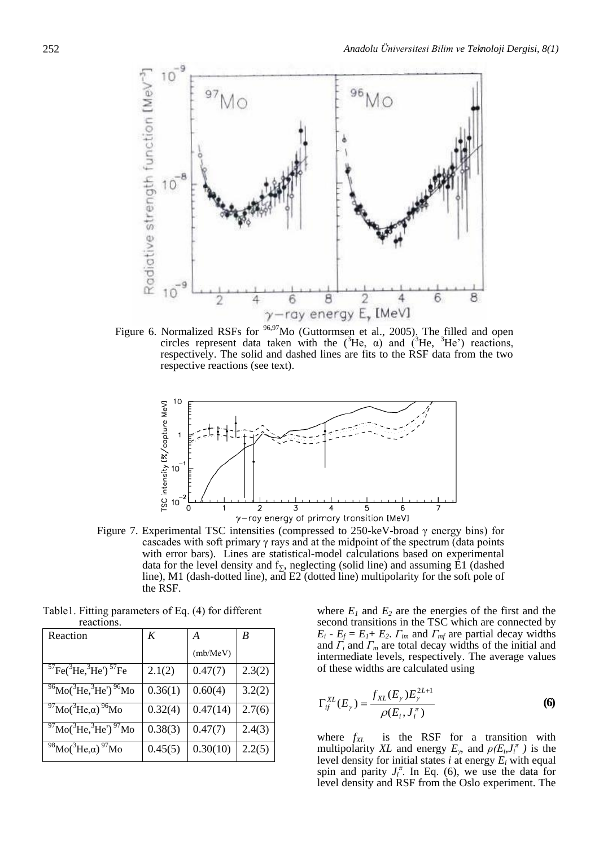

Figure 6. Normalized RSFs for <sup>96,97</sup>Mo (Guttormsen et al., 2005). The filled and open circles represent data taken with the ( ${}^{3}$ He,  $\alpha$ ) and ( ${}^{3}$ He,  ${}^{3}$ He') reactions, respectively. The solid and dashed lines are fits to the RSF data from the two respective reactions (see text).



Figure 7. Experimental TSC intensities (compressed to 250-keV-broad γ energy bins) for cascades with soft primary  $\gamma$  rays and at the midpoint of the spectrum (data points with error bars). Lines are statistical-model calculations based on experimental data for the level density and  $f_{\Sigma}$ , neglecting (solid line) and assuming E1 (dashed line), M1 (dash-dotted line), and E2 (dotted line) multipolarity for the soft pole of the RSF.

| Reaction                                                                  | K       | А        | B      |
|---------------------------------------------------------------------------|---------|----------|--------|
|                                                                           |         | (mb/MeV) |        |
| ${}^{57}Fe({}^{3}He,{}^{3}He')$ ${}^{57}Fe$                               | 2.1(2)  | 0.47(7)  | 2.3(2) |
| $^{96}$ Mo( $^{3}$ He, $^{3}$ He') $^{96}$ Mo                             | 0.36(1) | 0.60(4)  | 3.2(2) |
| $^{97}$ Mo( $^{3}$ He,a) $^{96}$ Mo                                       | 0.32(4) | 0.47(14) | 2.7(6) |
| $\frac{97}{9}$ Mo( $\frac{3}{1}$ He, $\frac{3}{1}$ He') $\frac{97}{9}$ Mo | 0.38(3) | 0.47(7)  | 2.4(3) |
| $^{98}$ Mo( $^{3}$ He,a) $^{97}$ Mo                                       | 0.45(5) | 0.30(10) | 2.2(5) |

Table1. Fitting parameters of Eq. (4) for different reactions.

where  $E_1$  and  $E_2$  are the energies of the first and the second transitions in the TSC which are connected by  $E_i - E_f = E_I + E_2$ . *Γ*<sub>*im*</sub> and *Γ<sub><i>mf*</sub> are partial decay widths and *Γ<sup>i</sup>* and *Γ<sup>m</sup>* are total decay widths of the initial and intermediate levels, respectively. The average values of these widths are calculated using

$$
\Gamma_{if}^{XL}(E_{\gamma}) = \frac{f_{XL}(E_{\gamma})E_{\gamma}^{2L+1}}{\rho(E_{i}, J_{i}^{\pi})}
$$
(6)

where *fXL* is the RSF for a transition with multipolarity *XL* and energy  $E_{\gamma}$ , and  $\rho(E_{i}J_{i}^{T})$  is the level density for initial states  $i$  at energy  $E_i$  with equal spin and parity  $J_i^{\pi}$ . In Eq. (6), we use the data for level density and RSF from the Oslo experiment. The